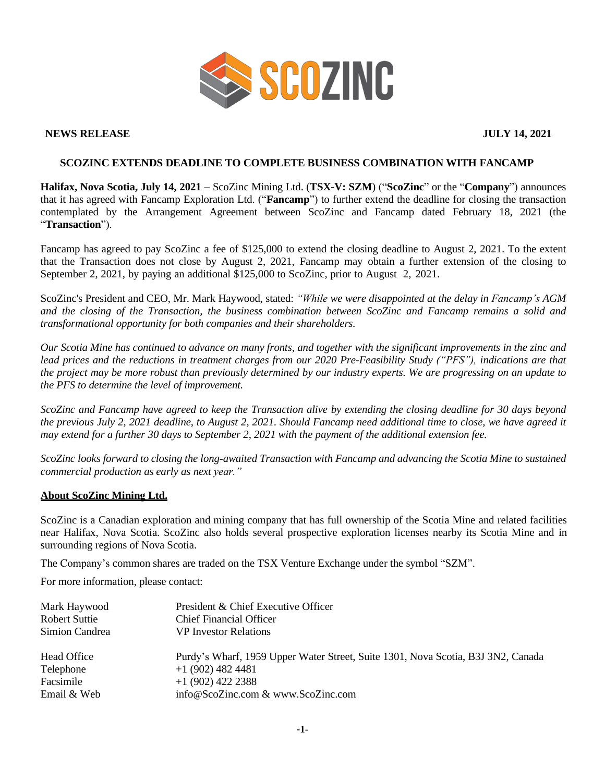

## **NEWS RELEASE JULY 14, 2021**

## **SCOZINC EXTENDS DEADLINE TO COMPLETE BUSINESS COMBINATION WITH FANCAMP**

**Halifax, Nova Scotia, July 14, 2021 –** ScoZinc Mining Ltd. (**TSX-V: SZM**) ("**ScoZinc**" or the "**Company**") announces that it has agreed with Fancamp Exploration Ltd. ("**Fancamp**") to further extend the deadline for closing the transaction contemplated by the Arrangement Agreement between ScoZinc and Fancamp dated February 18, 2021 (the "**Transaction**").

Fancamp has agreed to pay ScoZinc a fee of \$125,000 to extend the closing deadline to August 2, 2021. To the extent that the Transaction does not close by August 2, 2021, Fancamp may obtain a further extension of the closing to September 2, 2021, by paying an additional \$125,000 to ScoZinc, prior to August 2, 2021.

ScoZinc's President and CEO, Mr. Mark Haywood, stated: *"While we were disappointed at the delay in Fancamp's AGM* and the closing of the Transaction, the business combination between ScoZinc and Fancamp remains a solid and *transformational opportunity for both companies and their shareholders.*

Our Scotia Mine has continued to advance on many fronts, and together with the significant improvements in the zinc and lead prices and the reductions in treatment charges from our 2020 Pre-Feasibility Study ("PFS"), indications are that the project may be more robust than previously determined by our industry experts. We are progressing on an update to *the PFS to determine the level of improvement.*

ScoZinc and Fancamp have agreed to keep the Transaction alive by extending the closing deadline for 30 days beyond the previous July 2, 2021 deadline, to August 2, 2021. Should Fancamp need additional time to close, we have agreed it *may extend for a further 30 days to September 2, 2021 with the payment of the additional extension fee.*

ScoZinc looks forward to closing the long-awaited Transaction with Fancamp and advancing the Scotia Mine to sustained *commercial production as early as next year."*

## **About ScoZinc Mining Ltd.**

ScoZinc is a Canadian exploration and mining company that has full ownership of the Scotia Mine and related facilities near Halifax, Nova Scotia. ScoZinc also holds several prospective exploration licenses nearby its Scotia Mine and in surrounding regions of Nova Scotia.

The Company's common shares are traded on the TSX Venture Exchange under the symbol "SZM".

For more information, please contact:

| Mark Haywood<br>Robert Suttie<br>Simion Candrea | President & Chief Executive Officer<br><b>Chief Financial Officer</b><br><b>VP</b> Investor Relations |
|-------------------------------------------------|-------------------------------------------------------------------------------------------------------|
| Head Office                                     | Purdy's Wharf, 1959 Upper Water Street, Suite 1301, Nova Scotia, B3J 3N2, Canada                      |
| Telephone                                       | $+1$ (902) 482 4481                                                                                   |
| Facsimile                                       | $+1$ (902) 422 2388                                                                                   |
| Email & Web                                     | info@ScoZinc.com & www.ScoZinc.com                                                                    |